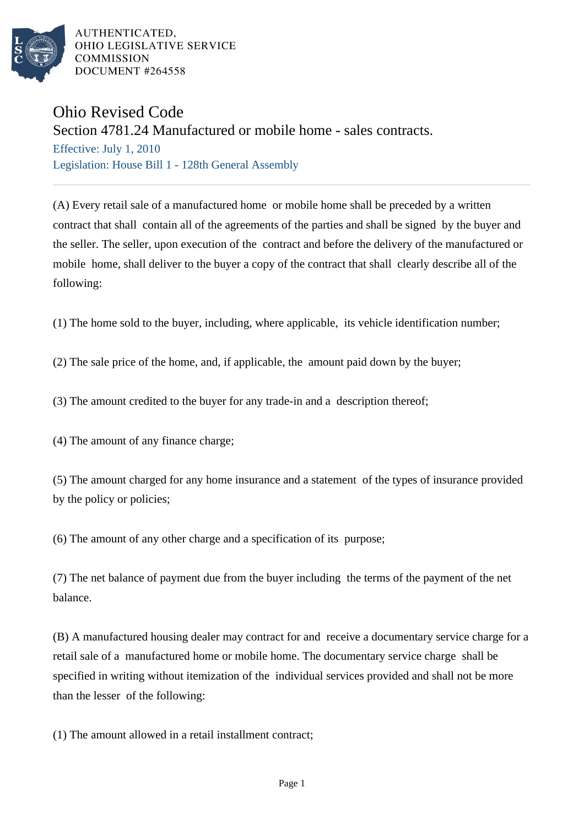

AUTHENTICATED. OHIO LEGISLATIVE SERVICE **COMMISSION** DOCUMENT #264558

## Ohio Revised Code

Section 4781.24 Manufactured or mobile home - sales contracts.

Effective: July 1, 2010 Legislation: House Bill 1 - 128th General Assembly

(A) Every retail sale of a manufactured home or mobile home shall be preceded by a written contract that shall contain all of the agreements of the parties and shall be signed by the buyer and the seller. The seller, upon execution of the contract and before the delivery of the manufactured or mobile home, shall deliver to the buyer a copy of the contract that shall clearly describe all of the following:

(1) The home sold to the buyer, including, where applicable, its vehicle identification number;

(2) The sale price of the home, and, if applicable, the amount paid down by the buyer;

(3) The amount credited to the buyer for any trade-in and a description thereof;

(4) The amount of any finance charge;

(5) The amount charged for any home insurance and a statement of the types of insurance provided by the policy or policies;

(6) The amount of any other charge and a specification of its purpose;

(7) The net balance of payment due from the buyer including the terms of the payment of the net balance.

(B) A manufactured housing dealer may contract for and receive a documentary service charge for a retail sale of a manufactured home or mobile home. The documentary service charge shall be specified in writing without itemization of the individual services provided and shall not be more than the lesser of the following:

(1) The amount allowed in a retail installment contract;